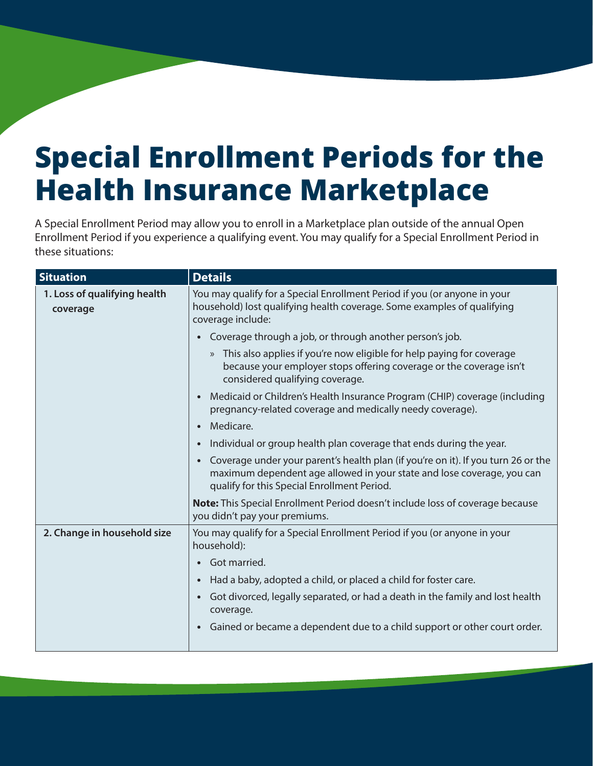## **Special Enrollment Periods for the Health Insurance Marketplace**

A Special Enrollment Period may allow you to enroll in a Marketplace plan outside of the annual Open Enrollment Period if you experience a qualifying event. You may qualify for a Special Enrollment Period in these situations:

| <b>Situation</b>                         | <b>Details</b>                                                                                                                                                                                                          |
|------------------------------------------|-------------------------------------------------------------------------------------------------------------------------------------------------------------------------------------------------------------------------|
| 1. Loss of qualifying health<br>coverage | You may qualify for a Special Enrollment Period if you (or anyone in your<br>household) lost qualifying health coverage. Some examples of qualifying<br>coverage include:                                               |
|                                          | Coverage through a job, or through another person's job.<br>$\bullet$                                                                                                                                                   |
|                                          | » This also applies if you're now eligible for help paying for coverage<br>because your employer stops offering coverage or the coverage isn't<br>considered qualifying coverage.                                       |
|                                          | Medicaid or Children's Health Insurance Program (CHIP) coverage (including<br>$\bullet$<br>pregnancy-related coverage and medically needy coverage).                                                                    |
|                                          | Medicare.<br>$\bullet$                                                                                                                                                                                                  |
|                                          | Individual or group health plan coverage that ends during the year.<br>$\bullet$                                                                                                                                        |
|                                          | Coverage under your parent's health plan (if you're on it). If you turn 26 or the<br>$\bullet$<br>maximum dependent age allowed in your state and lose coverage, you can<br>qualify for this Special Enrollment Period. |
|                                          | <b>Note:</b> This Special Enrollment Period doesn't include loss of coverage because<br>you didn't pay your premiums.                                                                                                   |
| 2. Change in household size              | You may qualify for a Special Enrollment Period if you (or anyone in your<br>household):                                                                                                                                |
|                                          | Got married.<br>$\bullet$                                                                                                                                                                                               |
|                                          | Had a baby, adopted a child, or placed a child for foster care.<br>$\bullet$                                                                                                                                            |
|                                          | Got divorced, legally separated, or had a death in the family and lost health<br>$\bullet$<br>coverage.                                                                                                                 |
|                                          | Gained or became a dependent due to a child support or other court order.<br>$\bullet$                                                                                                                                  |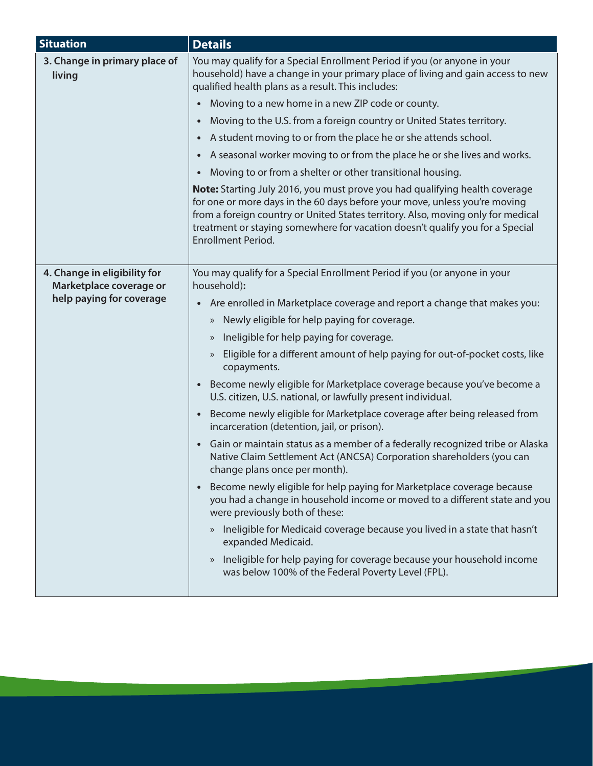| <b>Situation</b>                                                                    | <b>Details</b>                                                                                                                                                                                                                                                                                                                                                     |
|-------------------------------------------------------------------------------------|--------------------------------------------------------------------------------------------------------------------------------------------------------------------------------------------------------------------------------------------------------------------------------------------------------------------------------------------------------------------|
| 3. Change in primary place of<br>living                                             | You may qualify for a Special Enrollment Period if you (or anyone in your<br>household) have a change in your primary place of living and gain access to new<br>qualified health plans as a result. This includes:                                                                                                                                                 |
|                                                                                     | Moving to a new home in a new ZIP code or county.<br>$\bullet$                                                                                                                                                                                                                                                                                                     |
|                                                                                     | Moving to the U.S. from a foreign country or United States territory.<br>$\bullet$                                                                                                                                                                                                                                                                                 |
|                                                                                     | A student moving to or from the place he or she attends school.<br>$\bullet$                                                                                                                                                                                                                                                                                       |
|                                                                                     | A seasonal worker moving to or from the place he or she lives and works.<br>$\bullet$                                                                                                                                                                                                                                                                              |
|                                                                                     | Moving to or from a shelter or other transitional housing.<br>$\bullet$                                                                                                                                                                                                                                                                                            |
|                                                                                     | <b>Note:</b> Starting July 2016, you must prove you had qualifying health coverage<br>for one or more days in the 60 days before your move, unless you're moving<br>from a foreign country or United States territory. Also, moving only for medical<br>treatment or staying somewhere for vacation doesn't qualify you for a Special<br><b>Enrollment Period.</b> |
| 4. Change in eligibility for<br>Marketplace coverage or<br>help paying for coverage | You may qualify for a Special Enrollment Period if you (or anyone in your<br>household):                                                                                                                                                                                                                                                                           |
|                                                                                     | Are enrolled in Marketplace coverage and report a change that makes you:                                                                                                                                                                                                                                                                                           |
|                                                                                     | Newly eligible for help paying for coverage.<br>$\rangle\!\rangle$                                                                                                                                                                                                                                                                                                 |
|                                                                                     | Ineligible for help paying for coverage.<br>$\rangle$                                                                                                                                                                                                                                                                                                              |
|                                                                                     | Eligible for a different amount of help paying for out-of-pocket costs, like<br>$\rangle$<br>copayments.                                                                                                                                                                                                                                                           |
|                                                                                     | Become newly eligible for Marketplace coverage because you've become a<br>$\bullet$<br>U.S. citizen, U.S. national, or lawfully present individual.                                                                                                                                                                                                                |
|                                                                                     | Become newly eligible for Marketplace coverage after being released from<br>$\bullet$<br>incarceration (detention, jail, or prison).                                                                                                                                                                                                                               |
|                                                                                     | Gain or maintain status as a member of a federally recognized tribe or Alaska<br>$\bullet$<br>Native Claim Settlement Act (ANCSA) Corporation shareholders (you can<br>change plans once per month).                                                                                                                                                               |
|                                                                                     | Become newly eligible for help paying for Marketplace coverage because<br>$\bullet$<br>you had a change in household income or moved to a different state and you<br>were previously both of these:                                                                                                                                                                |
|                                                                                     | Ineligible for Medicaid coverage because you lived in a state that hasn't<br>$\rangle\!\rangle$<br>expanded Medicaid.                                                                                                                                                                                                                                              |
|                                                                                     | Ineligible for help paying for coverage because your household income<br>$\rangle\!\rangle$<br>was below 100% of the Federal Poverty Level (FPL).                                                                                                                                                                                                                  |